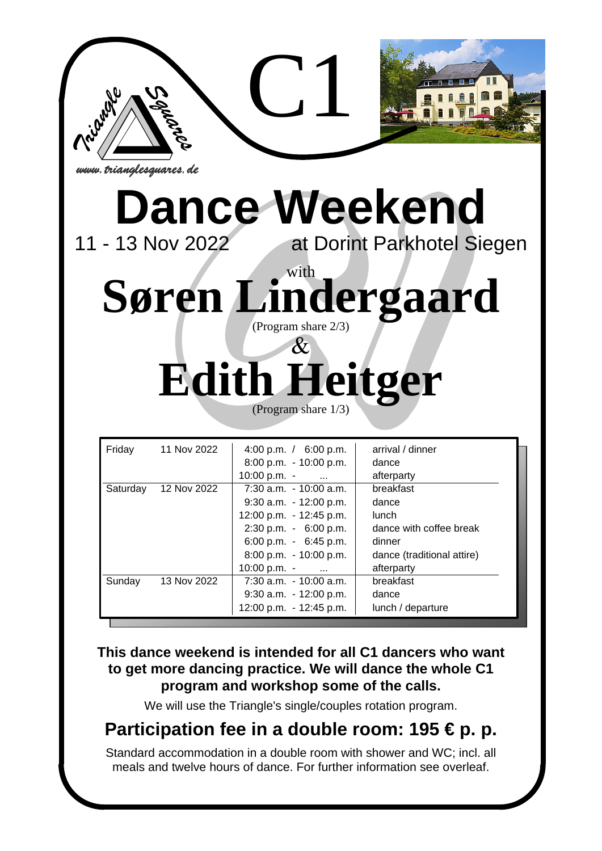

# **Dance Weekend**<br>11 - 13 Nov 2022<br>at Dorint Parkhotel Sie

at Dorint Parkhotel Siegen

**Expanses de**<br> **Since Weeke**<br> **Since Meeke**<br> **Since Meeke**<br> **C111 Margins share 2/3)**<br> **C111 May 2022**<br> **CProgram share 1/3)**<br> **CPROPERENT CODE:** (Program share  $2/3$ ) with Søren Lindergaard

# **Edith Heitger** (Program share 1/3)

| Friday   | 11 Nov 2022 | 4:00 p.m. $/$ 6:00 p.m.   | arrival / dinner           |
|----------|-------------|---------------------------|----------------------------|
|          |             | $8:00$ p.m. $-10:00$ p.m. | dance                      |
|          |             | $10:00 \text{ p.m.}$ -    | afterparty                 |
| Saturday | 12 Nov 2022 | $7:30$ a.m. $-10:00$ a.m. | breakfast                  |
|          |             | $9:30$ a.m. $-12:00$ p.m. | dance                      |
|          |             | 12:00 p.m. - 12:45 p.m.   | <b>lunch</b>               |
|          |             | $2:30$ p.m. $-6:00$ p.m.  | dance with coffee break    |
|          |             | 6:00 p.m. $-$ 6:45 p.m.   | dinner                     |
|          |             | $8:00$ p.m. $-10:00$ p.m. | dance (traditional attire) |
|          |             | $10:00 \text{ p.m.}$ -    | afterparty                 |
| Sunday   | 13 Nov 2022 | $7:30$ a.m. $-10:00$ a.m. | breakfast                  |
|          |             | $9:30$ a.m. $-12:00$ p.m. | dance                      |
|          |             | 12:00 p.m. - 12:45 p.m.   | lunch / departure          |

### **This dance weekend is intended for all C1 dancers who want to get more dancing practice. We will dance the whole C1 program and workshop some of the calls.**

We will use the Triangle's single/couples rotation program.

## **Participation fee in a double room: 195 € p. p.**

Standard accommodation in a double room with shower and WC; incl. all meals and twelve hours of dance. For further information see overleaf.